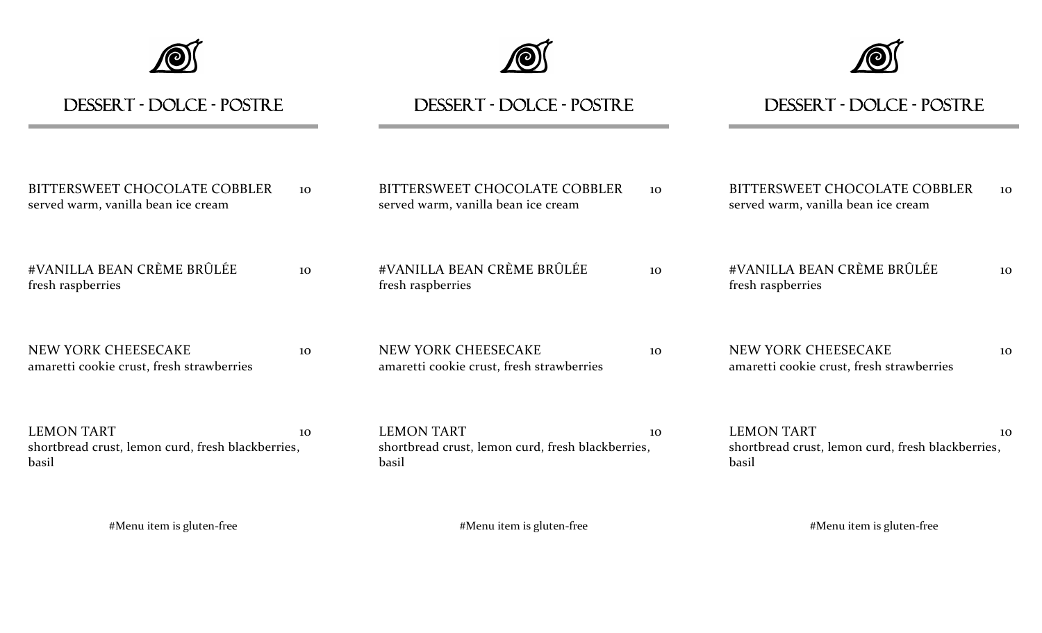





| DESSERT - DOLCE - POSTRE                                                        |    | DESSERT - DOLCE - POSTRE                                                        |    | DESSERT - DOLCE - POSTRE                                                        |    |
|---------------------------------------------------------------------------------|----|---------------------------------------------------------------------------------|----|---------------------------------------------------------------------------------|----|
| BITTERSWEET CHOCOLATE COBBLER<br>served warm, vanilla bean ice cream            | 10 | BITTERSWEET CHOCOLATE COBBLER<br>served warm, vanilla bean ice cream            | 10 | BITTERSWEET CHOCOLATE COBBLER<br>served warm, vanilla bean ice cream            | 10 |
| #VANILLA BEAN CRÈME BRÛLÉE<br>fresh raspberries                                 | 10 | #VANILLA BEAN CRÈME BRÛLÉE<br>fresh raspberries                                 | 10 | #VANILLA BEAN CRÈME BRÛLÉE<br>fresh raspberries                                 | 10 |
| <b>NEW YORK CHEESECAKE</b><br>amaretti cookie crust, fresh strawberries         | 10 | NEW YORK CHEESECAKE<br>amaretti cookie crust, fresh strawberries                | 10 | NEW YORK CHEESECAKE<br>amaretti cookie crust, fresh strawberries                | 10 |
| <b>LEMON TART</b><br>shortbread crust, lemon curd, fresh blackberries,<br>basil | 10 | <b>LEMON TART</b><br>shortbread crust, lemon curd, fresh blackberries,<br>basil | 10 | <b>LEMON TART</b><br>shortbread crust, lemon curd, fresh blackberries,<br>basil | 10 |
| #Menu item is gluten-free                                                       |    | #Menu item is gluten-free                                                       |    | #Menu item is gluten-free                                                       |    |